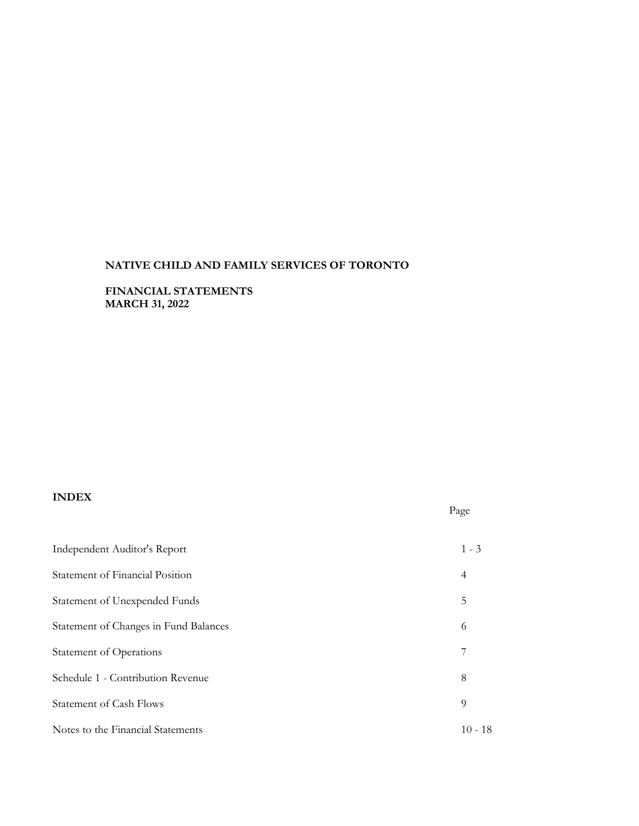**FINANCIAL STATEMENTS MARCH 31, 2022**

# **INDEX**

| Independent Auditor's Report          | $1 - 3$   |
|---------------------------------------|-----------|
| Statement of Financial Position       | 4         |
| Statement of Unexpended Funds         | 5         |
| Statement of Changes in Fund Balances | 6         |
| Statement of Operations               | 7         |
| Schedule 1 - Contribution Revenue     | 8         |
| <b>Statement of Cash Flows</b>        | 9         |
| Notes to the Financial Statements     | $10 - 18$ |

Page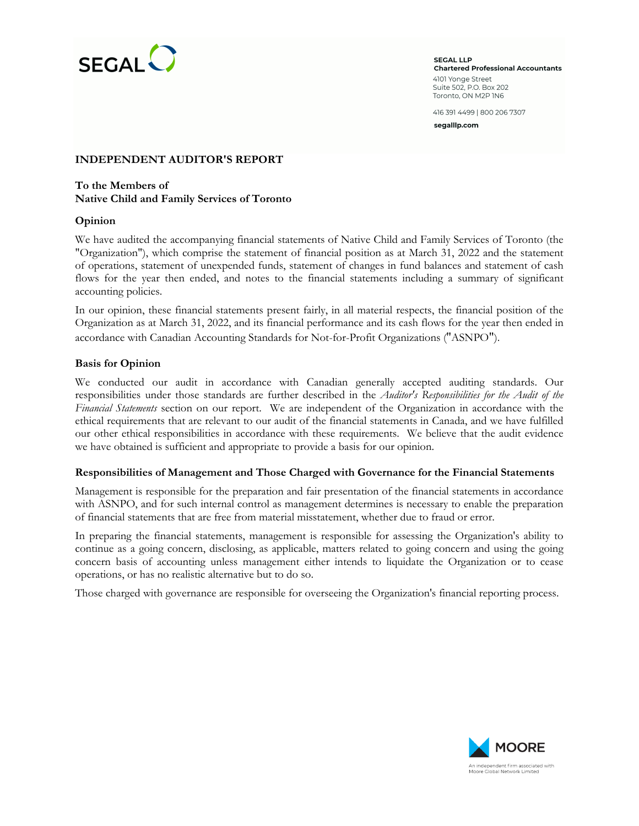

**SEGAL LLP Chartered Professional Accountants** 4101 Yonge Street Suite 502, P.O. Box 202 Toronto, ON M2P IN6

416 391 4499 | 800 206 7307

segalllp.com

### **INDEPENDENT AUDITOR'S REPORT**

### **To the Members of Native Child and Family Services of Toronto**

### **Opinion**

We have audited the accompanying financial statements of Native Child and Family Services of Toronto (the "Organization"), which comprise the statement of financial position as at March 31, 2022 and the statement of operations, statement of unexpended funds, statement of changes in fund balances and statement of cash flows for the year then ended, and notes to the financial statements including a summary of significant accounting policies.

In our opinion, these financial statements present fairly, in all material respects, the financial position of the Organization as at March 31, 2022, and its financial performance and its cash flows for the year then ended in accordance with Canadian Accounting Standards for Not-for-Profit Organizations ("ASNPO").

### **Basis for Opinion**

We conducted our audit in accordance with Canadian generally accepted auditing standards. Our responsibilities under those standards are further described in the *Auditor's Responsibilities for the Audit of the Financial Statements* section on our report. We are independent of the Organization in accordance with the ethical requirements that are relevant to our audit of the financial statements in Canada, and we have fulfilled our other ethical responsibilities in accordance with these requirements. We believe that the audit evidence we have obtained is sufficient and appropriate to provide a basis for our opinion.

#### **Responsibilities of Management and Those Charged with Governance for the Financial Statements**

Management is responsible for the preparation and fair presentation of the financial statements in accordance with ASNPO, and for such internal control as management determines is necessary to enable the preparation of financial statements that are free from material misstatement, whether due to fraud or error.

In preparing the financial statements, management is responsible for assessing the Organization's ability to continue as a going concern, disclosing, as applicable, matters related to going concern and using the going concern basis of accounting unless management either intends to liquidate the Organization or to cease operations, or has no realistic alternative but to do so.

Those charged with governance are responsible for overseeing the Organization's financial reporting process.

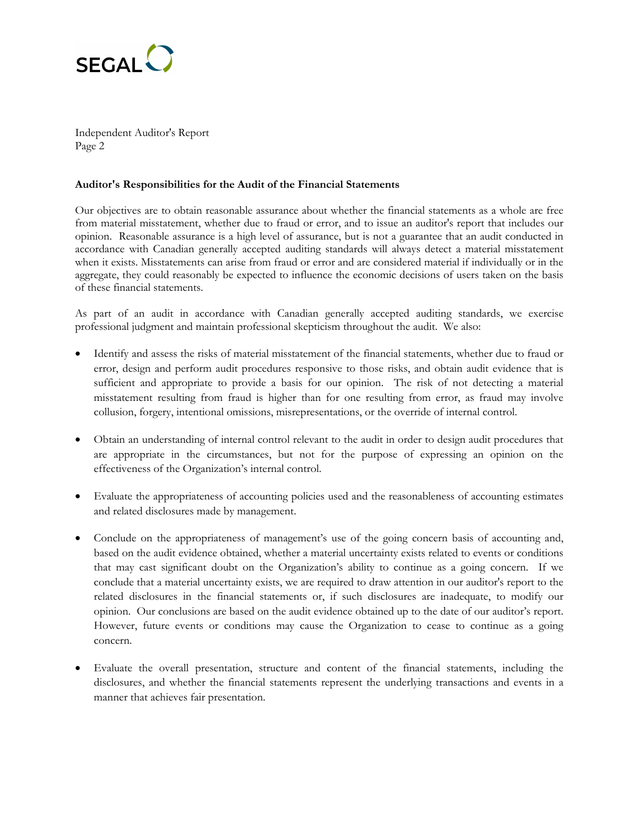

Independent Auditor's Report Page 2

### **Auditor's Responsibilities for the Audit of the Financial Statements**

Our objectives are to obtain reasonable assurance about whether the financial statements as a whole are free from material misstatement, whether due to fraud or error, and to issue an auditor's report that includes our opinion. Reasonable assurance is a high level of assurance, but is not a guarantee that an audit conducted in accordance with Canadian generally accepted auditing standards will always detect a material misstatement when it exists. Misstatements can arise from fraud or error and are considered material if individually or in the aggregate, they could reasonably be expected to influence the economic decisions of users taken on the basis of these financial statements.

As part of an audit in accordance with Canadian generally accepted auditing standards, we exercise professional judgment and maintain professional skepticism throughout the audit. We also:

- Identify and assess the risks of material misstatement of the financial statements, whether due to fraud or error, design and perform audit procedures responsive to those risks, and obtain audit evidence that is sufficient and appropriate to provide a basis for our opinion. The risk of not detecting a material misstatement resulting from fraud is higher than for one resulting from error, as fraud may involve collusion, forgery, intentional omissions, misrepresentations, or the override of internal control.
- Obtain an understanding of internal control relevant to the audit in order to design audit procedures that are appropriate in the circumstances, but not for the purpose of expressing an opinion on the effectiveness of the Organization's internal control.
- Evaluate the appropriateness of accounting policies used and the reasonableness of accounting estimates and related disclosures made by management.
- Conclude on the appropriateness of management's use of the going concern basis of accounting and, based on the audit evidence obtained, whether a material uncertainty exists related to events or conditions that may cast significant doubt on the Organization's ability to continue as a going concern. If we conclude that a material uncertainty exists, we are required to draw attention in our auditor's report to the related disclosures in the financial statements or, if such disclosures are inadequate, to modify our opinion. Our conclusions are based on the audit evidence obtained up to the date of our auditor's report. However, future events or conditions may cause the Organization to cease to continue as a going concern.
- Evaluate the overall presentation, structure and content of the financial statements, including the disclosures, and whether the financial statements represent the underlying transactions and events in a manner that achieves fair presentation.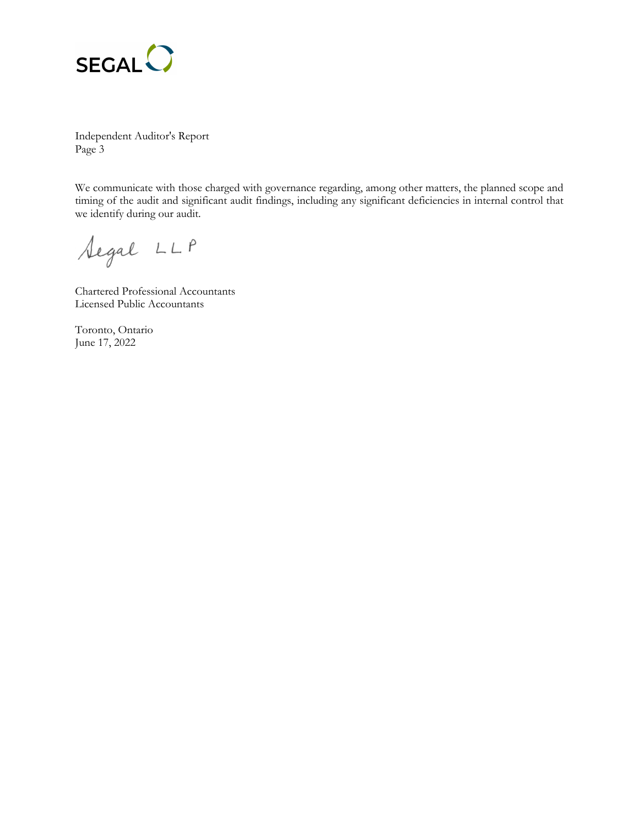

Independent Auditor's Report Page 3

We communicate with those charged with governance regarding, among other matters, the planned scope and timing of the audit and significant audit findings, including any significant deficiencies in internal control that we identify during our audit.

Segal LLP

Chartered Professional Accountants Licensed Public Accountants

Toronto, Ontario June 17, 2022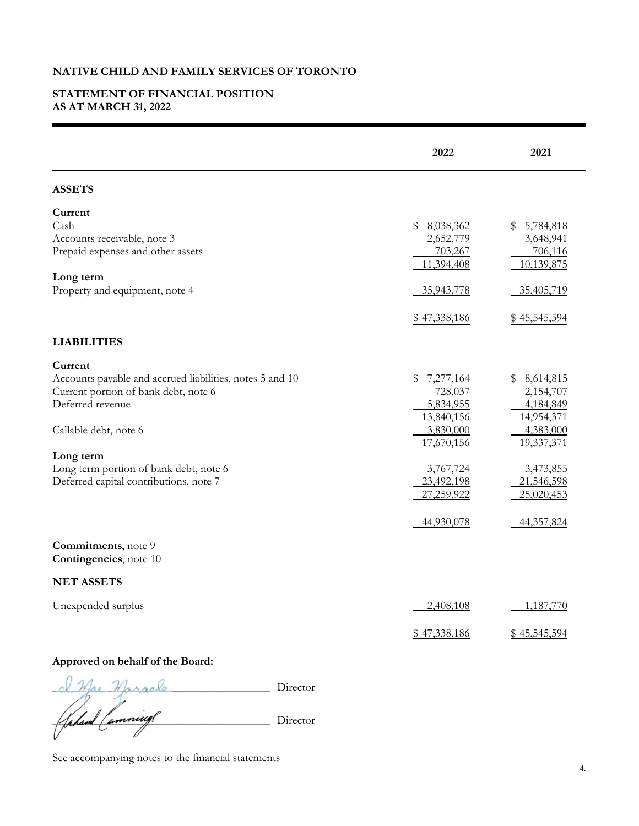# **STATEMENT OF FINANCIAL POSITION AS AT MARCH 31, 2022**

|                                                                                                                                                                                                                                                           | 2022                                                                                                                                    | 2021                                                                                                                                    |
|-----------------------------------------------------------------------------------------------------------------------------------------------------------------------------------------------------------------------------------------------------------|-----------------------------------------------------------------------------------------------------------------------------------------|-----------------------------------------------------------------------------------------------------------------------------------------|
| <b>ASSETS</b>                                                                                                                                                                                                                                             |                                                                                                                                         |                                                                                                                                         |
| Current<br>Cash<br>Accounts receivable, note 3<br>Prepaid expenses and other assets<br>Long term<br>Property and equipment, note 4                                                                                                                        | \$<br>8,038,362<br>2,652,779<br>703,267<br>11,394,408<br>35,943,778<br>\$47,338,186                                                     | 5,784,818<br>\$<br>3,648,941<br>706,116<br>10,139,875<br>35,405,719<br>\$45,545,594                                                     |
| <b>LIABILITIES</b>                                                                                                                                                                                                                                        |                                                                                                                                         |                                                                                                                                         |
| Current<br>Accounts payable and accrued liabilities, notes 5 and 10<br>Current portion of bank debt, note 6<br>Deferred revenue<br>Callable debt, note 6<br>Long term<br>Long term portion of bank debt, note 6<br>Deferred capital contributions, note 7 | 7,277,164<br>\$<br>728,037<br>5,834,955<br>13,840,156<br>3,830,000<br>17,670,156<br>3,767,724<br>23,492,198<br>27,259,922<br>44,930,078 | \$8,614,815<br>2,154,707<br>4,184,849<br>14,954,371<br>4,383,000<br>19,337,371<br>3,473,855<br>21,546,598<br>25,020,453<br>44, 357, 824 |
| Commitments, note 9<br><b>Contingencies</b> , note 10                                                                                                                                                                                                     |                                                                                                                                         |                                                                                                                                         |
| <b>NET ASSETS</b>                                                                                                                                                                                                                                         |                                                                                                                                         |                                                                                                                                         |
| Unexpended surplus                                                                                                                                                                                                                                        | 2,408,108<br>\$47,338,186                                                                                                               | 1,187,770<br>\$45,545,594                                                                                                               |
| Approved on behalf of the Board:                                                                                                                                                                                                                          |                                                                                                                                         |                                                                                                                                         |
|                                                                                                                                                                                                                                                           |                                                                                                                                         |                                                                                                                                         |

*\_\_\_\_\_\_\_\_\_\_\_\_\_\_\_\_\_\_\_\_\_\_\_\_\_\_\_\_\_\_\_\_\_\_\_\_\_\_* Director *\_\_\_\_\_\_\_\_\_\_\_\_\_\_\_\_\_\_\_\_\_\_\_\_\_\_\_\_\_\_\_\_\_\_\_\_\_\_* Director

See accompanying notes to the financial statements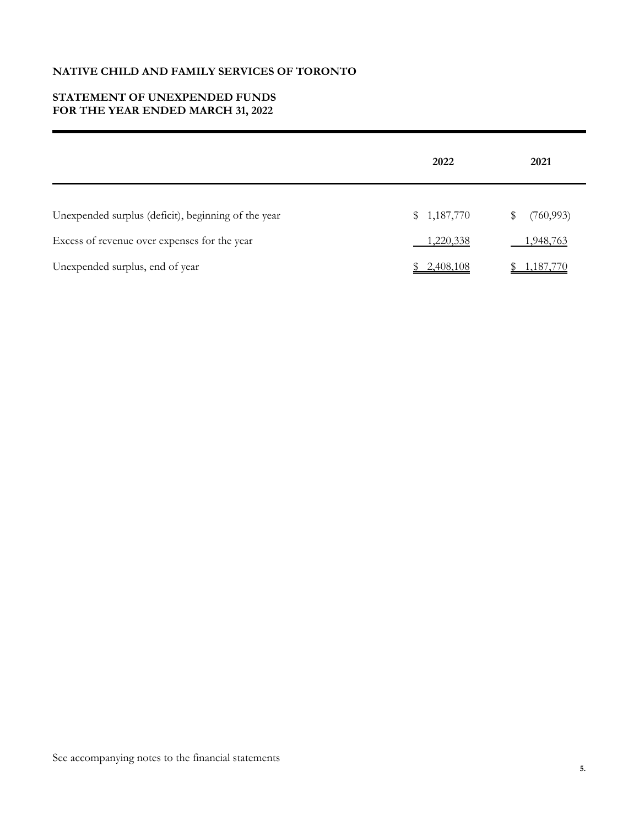# **STATEMENT OF UNEXPENDED FUNDS FOR THE YEAR ENDED MARCH 31, 2022**

|                                                     | 2022             | 2021             |
|-----------------------------------------------------|------------------|------------------|
| Unexpended surplus (deficit), beginning of the year | \$1,187,770      | (760, 993)<br>\$ |
| Excess of revenue over expenses for the year        | <u>1,220,338</u> | 1,948,763        |
| Unexpended surplus, end of year                     | \$2,408,108      | <u>1,187,770</u> |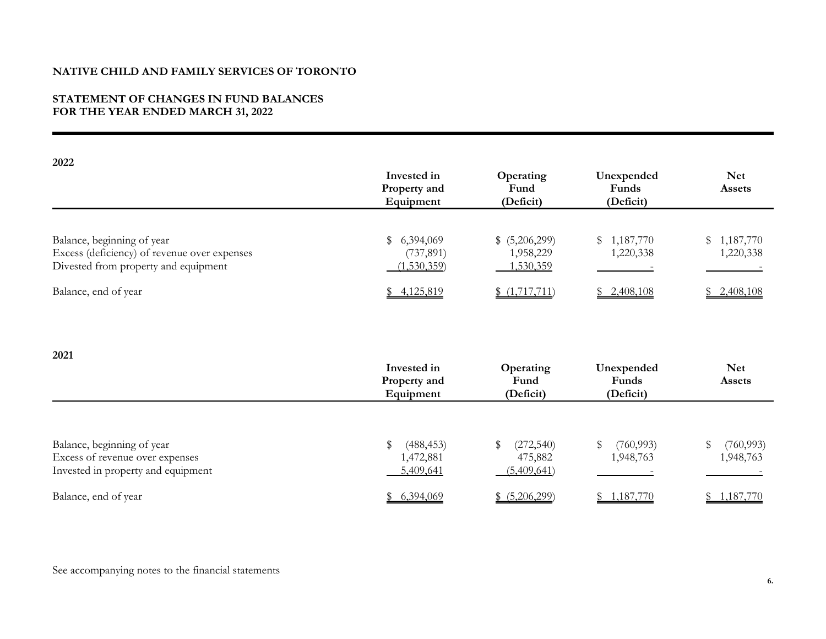### **STATEMENT OF CHANGES IN FUND BALANCES FOR THE YEAR ENDED MARCH 31, 2022**

| 2022                                                                                                               | Invested in<br>Property and<br>Equipment            | Operating<br>Fund<br>(Deficit)            | Unexpended<br>Funds<br>(Deficit) | <b>Net</b><br>Assets          |
|--------------------------------------------------------------------------------------------------------------------|-----------------------------------------------------|-------------------------------------------|----------------------------------|-------------------------------|
| Balance, beginning of year<br>Excess (deficiency) of revenue over expenses<br>Divested from property and equipment | 6,394,069<br>\$<br>(737, 891)<br>(1,530,359)        | \$ (5,206,299)<br>1,958,229<br>1,530,359  | 1,187,770<br>\$<br>1,220,338     | 1,187,770<br>\$<br>1,220,338  |
| Balance, end of year                                                                                               | \$4,125,819                                         | (1,717,711)                               | \$2,408,108                      | \$2,408,108                   |
| 2021                                                                                                               | Invested in                                         | Operating                                 | Unexpended                       | <b>Net</b>                    |
|                                                                                                                    | Property and<br>Equipment                           | Fund<br>(Deficit)                         | Funds<br>(Deficit)               | Assets                        |
| Balance, beginning of year<br>Excess of revenue over expenses<br>Invested in property and equipment                | $\mathbb S$<br>(488, 453)<br>1,472,881<br>5,409,641 | (272, 540)<br>S<br>475,882<br>(5,409,641) | \$<br>(760, 993)<br>1,948,763    | \$<br>(760, 993)<br>1,948,763 |
| Balance, end of year                                                                                               | \$6,394,069                                         | \$ (5,206,299)                            | \$1,187,770                      | \$1,187,770                   |

See accompanying notes to the financial statements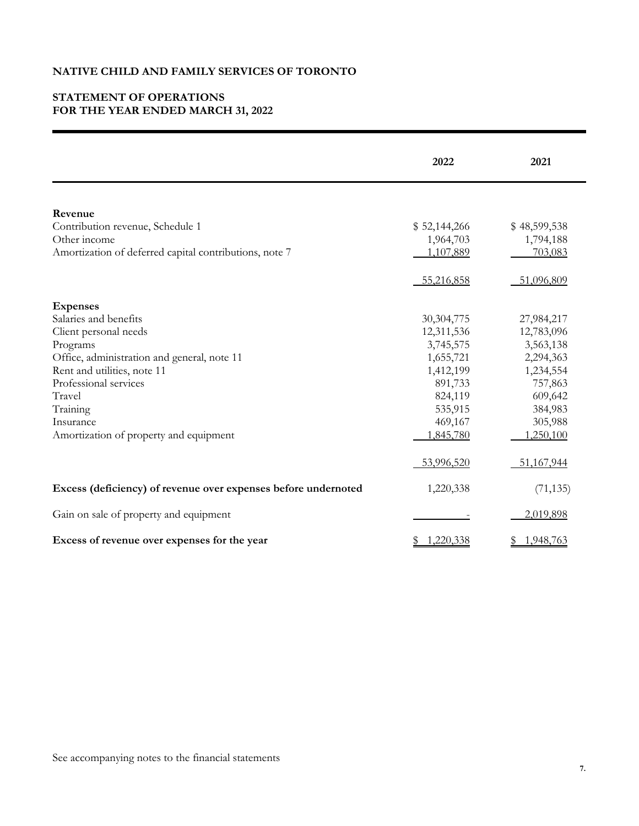# **STATEMENT OF OPERATIONS FOR THE YEAR ENDED MARCH 31, 2022**

|                                                                | 2022         | 2021            |
|----------------------------------------------------------------|--------------|-----------------|
|                                                                |              |                 |
| Revenue                                                        |              |                 |
| Contribution revenue, Schedule 1                               | \$52,144,266 | \$48,599,538    |
| Other income                                                   | 1,964,703    | 1,794,188       |
| Amortization of deferred capital contributions, note 7         | 1,107,889    | 703,083         |
|                                                                | 55,216,858   | 51,096,809      |
| <b>Expenses</b>                                                |              |                 |
| Salaries and benefits                                          | 30, 304, 775 | 27,984,217      |
| Client personal needs                                          | 12,311,536   | 12,783,096      |
| Programs                                                       | 3,745,575    | 3,563,138       |
| Office, administration and general, note 11                    | 1,655,721    | 2,294,363       |
| Rent and utilities, note 11                                    | 1,412,199    | 1,234,554       |
| Professional services                                          | 891,733      | 757,863         |
| Travel                                                         | 824,119      | 609,642         |
| Training                                                       | 535,915      | 384,983         |
| Insurance                                                      | 469,167      | 305,988         |
| Amortization of property and equipment                         | 1,845,780    | 1,250,100       |
|                                                                | 53,996,520   | 51,167,944      |
| Excess (deficiency) of revenue over expenses before undernoted | 1,220,338    | (71, 135)       |
| Gain on sale of property and equipment                         |              | 2,019,898       |
| Excess of revenue over expenses for the year                   | 1,220,338    | 1,948,763<br>\$ |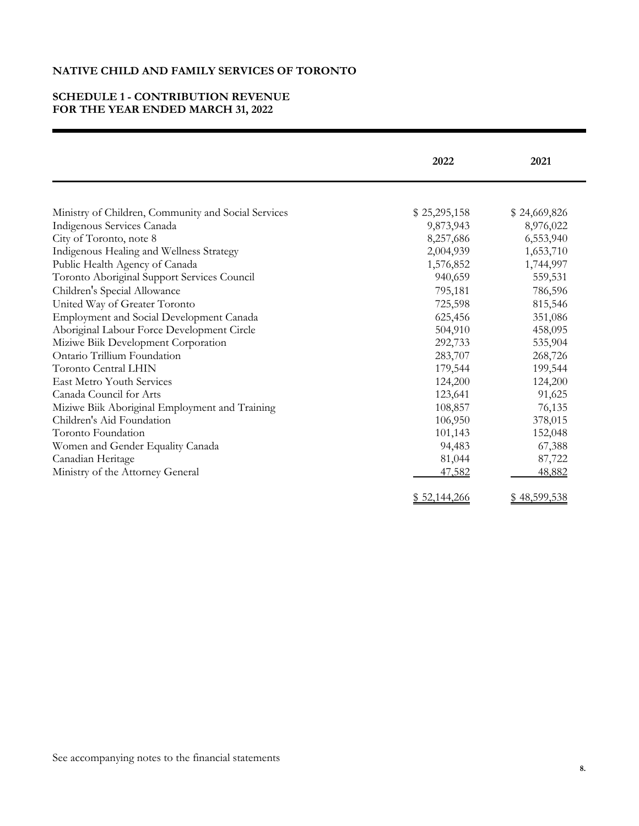# **SCHEDULE 1 - CONTRIBUTION REVENUE FOR THE YEAR ENDED MARCH 31, 2022**

|                                                     | 2022         | 2021         |
|-----------------------------------------------------|--------------|--------------|
|                                                     |              |              |
| Ministry of Children, Community and Social Services | \$25,295,158 | \$24,669,826 |
| Indigenous Services Canada                          | 9,873,943    | 8,976,022    |
| City of Toronto, note 8                             | 8,257,686    | 6,553,940    |
| Indigenous Healing and Wellness Strategy            | 2,004,939    | 1,653,710    |
| Public Health Agency of Canada                      | 1,576,852    | 1,744,997    |
| Toronto Aboriginal Support Services Council         | 940,659      | 559,531      |
| Children's Special Allowance                        | 795,181      | 786,596      |
| United Way of Greater Toronto                       | 725,598      | 815,546      |
| Employment and Social Development Canada            | 625,456      | 351,086      |
| Aboriginal Labour Force Development Circle          | 504,910      | 458,095      |
| Miziwe Biik Development Corporation                 | 292,733      | 535,904      |
| Ontario Trillium Foundation                         | 283,707      | 268,726      |
| <b>Toronto Central LHIN</b>                         | 179,544      | 199,544      |
| <b>East Metro Youth Services</b>                    | 124,200      | 124,200      |
| Canada Council for Arts                             | 123,641      | 91,625       |
| Miziwe Biik Aboriginal Employment and Training      | 108,857      | 76,135       |
| Children's Aid Foundation                           | 106,950      | 378,015      |
| Toronto Foundation                                  | 101,143      | 152,048      |
| Women and Gender Equality Canada                    | 94,483       | 67,388       |
| Canadian Heritage                                   | 81,044       | 87,722       |
| Ministry of the Attorney General                    | 47,582       | 48,882       |
|                                                     | \$52,144,266 | \$48,599,538 |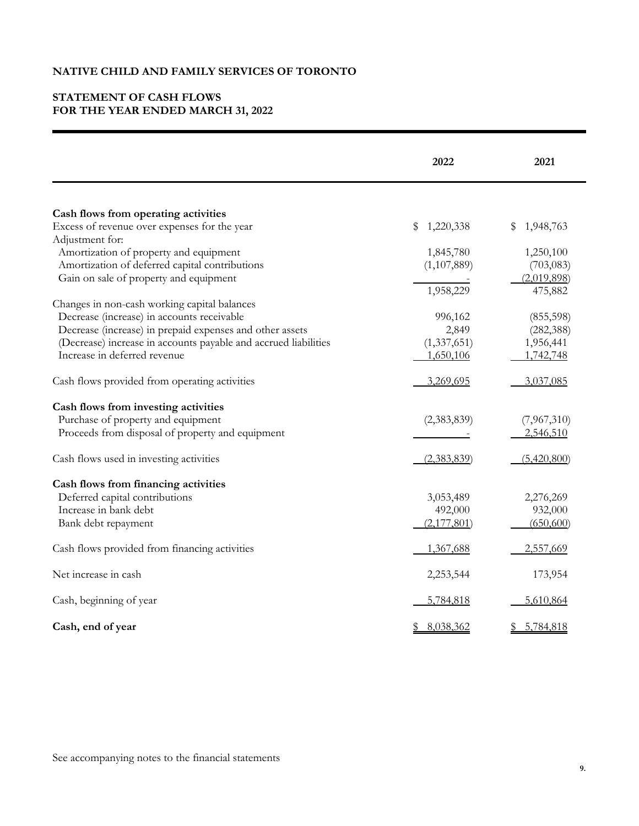# **STATEMENT OF CASH FLOWS FOR THE YEAR ENDED MARCH 31, 2022**

|                                                                 | 2022            | 2021                       |
|-----------------------------------------------------------------|-----------------|----------------------------|
|                                                                 |                 |                            |
| Cash flows from operating activities                            |                 |                            |
| Excess of revenue over expenses for the year                    | 1,220,338<br>S  | \$<br>1,948,763            |
| Adjustment for:                                                 |                 |                            |
| Amortization of property and equipment                          | 1,845,780       | 1,250,100                  |
| Amortization of deferred capital contributions                  | (1,107,889)     | (703, 083)                 |
| Gain on sale of property and equipment                          |                 | (2,019,898)                |
|                                                                 | 1,958,229       | 475,882                    |
| Changes in non-cash working capital balances                    |                 |                            |
| Decrease (increase) in accounts receivable                      | 996,162         | (855, 598)                 |
| Decrease (increase) in prepaid expenses and other assets        | 2,849           | (282, 388)                 |
| (Decrease) increase in accounts payable and accrued liabilities | (1, 337, 651)   | 1,956,441                  |
| Increase in deferred revenue                                    | 1,650,106       | 1,742,748                  |
|                                                                 |                 |                            |
| Cash flows provided from operating activities                   | 3,269,695       | 3,037,085                  |
| Cash flows from investing activities                            |                 |                            |
| Purchase of property and equipment                              | (2,383,839)     | (7,967,310)                |
| Proceeds from disposal of property and equipment                |                 | 2,546,510                  |
|                                                                 |                 |                            |
| Cash flows used in investing activities                         | (2,383,839)     | (5,420,800)                |
|                                                                 |                 |                            |
| Cash flows from financing activities                            |                 |                            |
| Deferred capital contributions                                  | 3,053,489       | 2,276,269                  |
| Increase in bank debt                                           | 492,000         | 932,000                    |
| Bank debt repayment                                             | (2,177,801)     | (650,600)                  |
|                                                                 |                 |                            |
| Cash flows provided from financing activities                   | 1,367,688       | 2,557,669                  |
|                                                                 |                 |                            |
| Net increase in cash                                            | 2,253,544       | 173,954                    |
|                                                                 |                 |                            |
| Cash, beginning of year                                         | 5,784,818       | 5,610,864                  |
|                                                                 |                 |                            |
| Cash, end of year                                               | 8,038,362<br>\$ | 5,784,818<br>$\frac{1}{2}$ |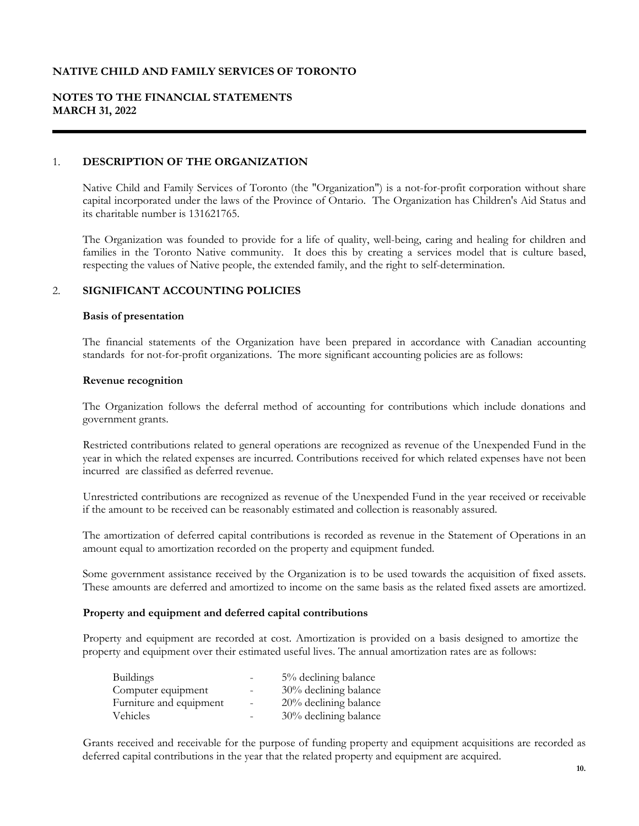# **NOTES TO THE FINANCIAL STATEMENTS MARCH 31, 2022**

### 1. **DESCRIPTION OF THE ORGANIZATION**

Native Child and Family Services of Toronto (the "Organization") is a not-for-profit corporation without share capital incorporated under the laws of the Province of Ontario. The Organization has Children's Aid Status and its charitable number is 131621765.

The Organization was founded to provide for a life of quality, well-being, caring and healing for children and families in the Toronto Native community. It does this by creating a services model that is culture based, respecting the values of Native people, the extended family, and the right to self-determination.

### 2. **SIGNIFICANT ACCOUNTING POLICIES**

#### **Basis of presentation**

The financial statements of the Organization have been prepared in accordance with Canadian accounting standards for not-for-profit organizations. The more significant accounting policies are as follows:

#### **Revenue recognition**

The Organization follows the deferral method of accounting for contributions which include donations and government grants.

Restricted contributions related to general operations are recognized as revenue of the Unexpended Fund in the year in which the related expenses are incurred. Contributions received for which related expenses have not been incurred are classified as deferred revenue.

Unrestricted contributions are recognized as revenue of the Unexpended Fund in the year received or receivable if the amount to be received can be reasonably estimated and collection is reasonably assured.

The amortization of deferred capital contributions is recorded as revenue in the Statement of Operations in an amount equal to amortization recorded on the property and equipment funded.

Some government assistance received by the Organization is to be used towards the acquisition of fixed assets. These amounts are deferred and amortized to income on the same basis as the related fixed assets are amortized.

### **Property and equipment and deferred capital contributions**

Property and equipment are recorded at cost. Amortization is provided on a basis designed to amortize the property and equipment over their estimated useful lives. The annual amortization rates are as follows:

|                          | 5% declining balance     |
|--------------------------|--------------------------|
| $\qquad \qquad -$        | 30% declining balance    |
| $\overline{\phantom{a}}$ | $20\%$ declining balance |
|                          | 30% declining balance    |
|                          |                          |

Grants received and receivable for the purpose of funding property and equipment acquisitions are recorded as deferred capital contributions in the year that the related property and equipment are acquired.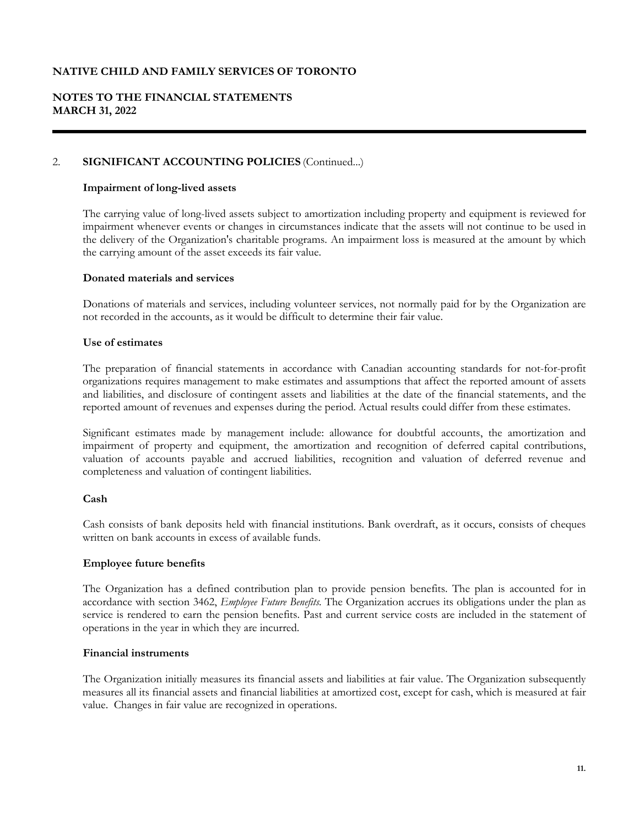# **NOTES TO THE FINANCIAL STATEMENTS MARCH 31, 2022**

### 2. **SIGNIFICANT ACCOUNTING POLICIES** (Continued...)

### **Impairment of long-lived assets**

The carrying value of long-lived assets subject to amortization including property and equipment is reviewed for impairment whenever events or changes in circumstances indicate that the assets will not continue to be used in the delivery of the Organization's charitable programs. An impairment loss is measured at the amount by which the carrying amount of the asset exceeds its fair value.

### **Donated materials and services**

Donations of materials and services, including volunteer services, not normally paid for by the Organization are not recorded in the accounts, as it would be difficult to determine their fair value.

### **Use of estimates**

The preparation of financial statements in accordance with Canadian accounting standards for not-for-profit organizations requires management to make estimates and assumptions that affect the reported amount of assets and liabilities, and disclosure of contingent assets and liabilities at the date of the financial statements, and the reported amount of revenues and expenses during the period. Actual results could differ from these estimates.

Significant estimates made by management include: allowance for doubtful accounts, the amortization and impairment of property and equipment, the amortization and recognition of deferred capital contributions, valuation of accounts payable and accrued liabilities, recognition and valuation of deferred revenue and completeness and valuation of contingent liabilities.

### **Cash**

Cash consists of bank deposits held with financial institutions. Bank overdraft, as it occurs, consists of cheques written on bank accounts in excess of available funds.

### **Employee future benefits**

The Organization has a defined contribution plan to provide pension benefits. The plan is accounted for in accordance with section 3462, *Employee Future Benefits.* The Organization accrues its obligations under the plan as service is rendered to earn the pension benefits. Past and current service costs are included in the statement of operations in the year in which they are incurred.

### **Financial instruments**

The Organization initially measures its financial assets and liabilities at fair value. The Organization subsequently measures all its financial assets and financial liabilities at amortized cost, except for cash, which is measured at fair value. Changes in fair value are recognized in operations.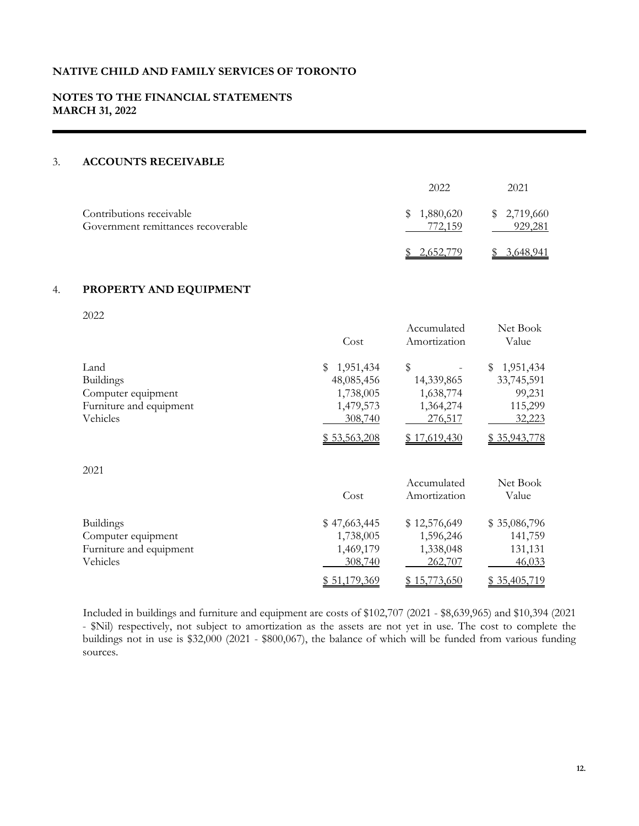# **NOTES TO THE FINANCIAL STATEMENTS MARCH 31, 2022**

# 3. **ACCOUNTS RECEIVABLE**

|                                                                | 2022                       | 2021                   |
|----------------------------------------------------------------|----------------------------|------------------------|
| Contributions receivable<br>Government remittances recoverable | 1,880,620<br>S.<br>772.159 | \$2,719,660<br>929,281 |
|                                                                |                            | 2.040                  |

### 4. **PROPERTY AND EQUIPMENT**

|--|

| ZUZZ                    | Cost           | Accumulated<br>Amortization | Net Book<br>Value |
|-------------------------|----------------|-----------------------------|-------------------|
| Land                    | 1,951,434<br>S | \$                          | 1,951,434<br>S    |
| <b>Buildings</b>        | 48,085,456     | 14,339,865                  | 33,745,591        |
| Computer equipment      | 1,738,005      | 1,638,774                   | 99,231            |
| Furniture and equipment | 1,479,573      | 1,364,274                   | 115,299           |
| Vehicles                | 308,740        | 276,517                     | 32,223            |
|                         | \$53,563,208   | \$17,619,430                | \$35,943,778      |
| 2021                    |                |                             |                   |
|                         |                | Accumulated                 | Net Book          |
|                         | Cost           | Amortization                | Value             |
| <b>Buildings</b>        | \$47,663,445   | \$12,576,649                | \$35,086,796      |
| Computer equipment      | 1,738,005      | 1,596,246                   | 141,759           |
| Furniture and equipment | 1,469,179      | 1,338,048                   | 131,131           |
| Vehicles                | 308,740        | 262,707                     | 46,033            |
|                         | \$51,179,369   | \$15,773,650                | \$35,405,719      |

Included in buildings and furniture and equipment are costs of \$102,707 (2021 - \$8,639,965) and \$10,394 (2021 - \$Nil) respectively, not subject to amortization as the assets are not yet in use. The cost to complete the buildings not in use is \$32,000 (2021 - \$800,067), the balance of which will be funded from various funding sources.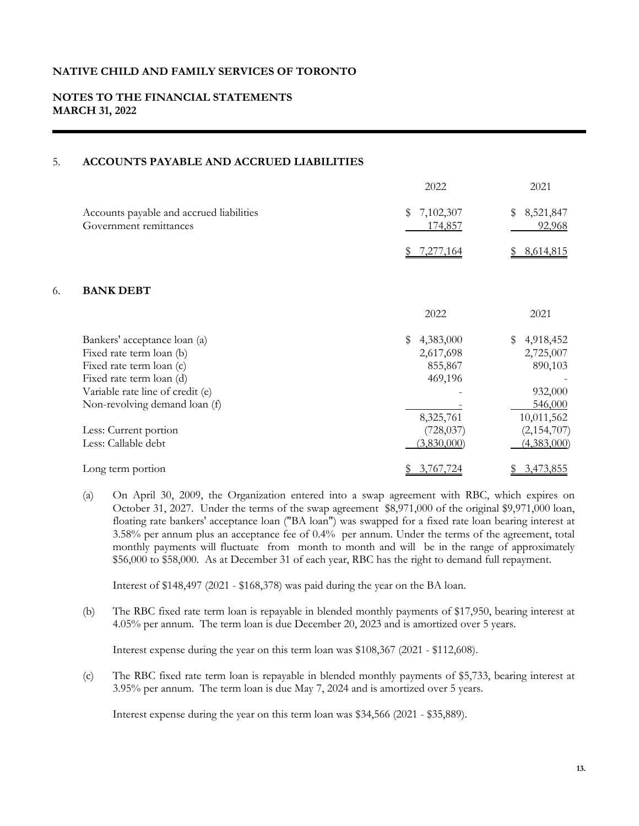# **NOTES TO THE FINANCIAL STATEMENTS MARCH 31, 2022**

# 5. **ACCOUNTS PAYABLE AND ACCRUED LIABILITIES**

|    |                                                                    | 2022                       | 2021                      |
|----|--------------------------------------------------------------------|----------------------------|---------------------------|
|    | Accounts payable and accrued liabilities<br>Government remittances | 7,102,307<br>\$<br>174,857 | 8,521,847<br>\$<br>92,968 |
|    |                                                                    | 7,277,164                  | 8,614,815                 |
| 6. | <b>BANK DEBT</b>                                                   |                            |                           |
|    |                                                                    | 2022                       | 2021                      |
|    | Bankers' acceptance loan (a)                                       | 4,383,000<br>\$            | 4,918,452<br>\$           |
|    | Fixed rate term loan (b)                                           | 2,617,698                  | 2,725,007                 |
|    | Fixed rate term loan (c)                                           | 855,867                    | 890,103                   |
|    | Fixed rate term loan (d)                                           | 469,196                    |                           |
|    | Variable rate line of credit (e)                                   |                            | 932,000                   |
|    | Non-revolving demand loan (f)                                      |                            | 546,000                   |
|    |                                                                    | 8,325,761                  | 10,011,562                |
|    | Less: Current portion                                              | (728, 037)                 | (2,154,707)               |
|    | Less: Callable debt                                                | (3,830,000)                | (4,383,000)               |
|    | Long term portion                                                  | 3,767,724<br>S.            | 3,473,855<br>S            |

(a) On April 30, 2009, the Organization entered into a swap agreement with RBC, which expires on October 31, 2027. Under the terms of the swap agreement \$8,971,000 of the original \$9,971,000 loan, floating rate bankers' acceptance loan ("BA loan") was swapped for a fixed rate loan bearing interest at 3.58% per annum plus an acceptance fee of 0.4% per annum. Under the terms of the agreement, total monthly payments will fluctuate from month to month and will be in the range of approximately \$56,000 to \$58,000. As at December 31 of each year, RBC has the right to demand full repayment.

Interest of \$148,497 (2021 - \$168,378) was paid during the year on the BA loan.

(b) The RBC fixed rate term loan is repayable in blended monthly payments of \$17,950, bearing interest at 4.05% per annum. The term loan is due December 20, 2023 and is amortized over 5 years.

Interest expense during the year on this term loan was \$108,367 (2021 - \$112,608).

(c) The RBC fixed rate term loan is repayable in blended monthly payments of \$5,733, bearing interest at 3.95% per annum. The term loan is due May 7, 2024 and is amortized over 5 years.

Interest expense during the year on this term loan was \$34,566 (2021 - \$35,889).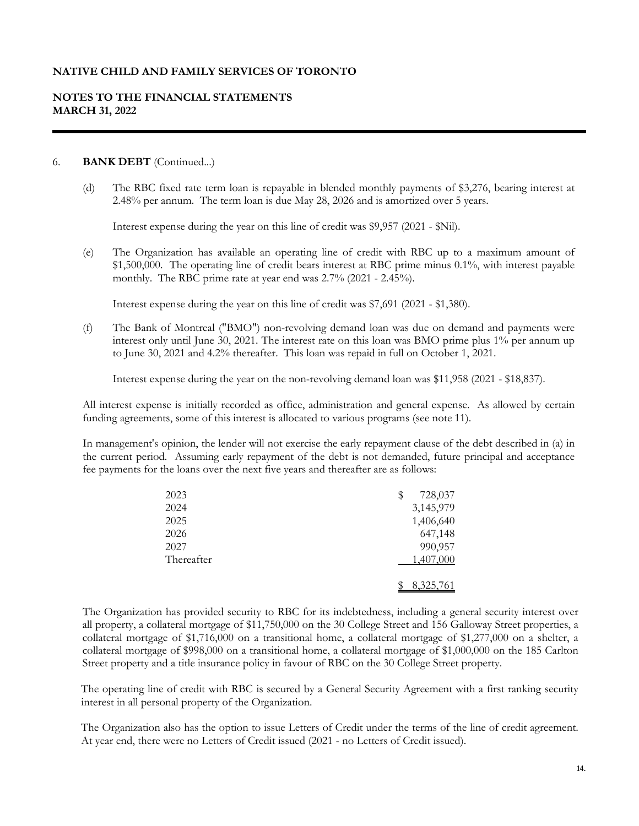# **NOTES TO THE FINANCIAL STATEMENTS MARCH 31, 2022**

### 6. **BANK DEBT** (Continued...)

(d) The RBC fixed rate term loan is repayable in blended monthly payments of \$3,276, bearing interest at 2.48% per annum. The term loan is due May 28, 2026 and is amortized over 5 years.

Interest expense during the year on this line of credit was \$9,957 (2021 - \$Nil).

(e) The Organization has available an operating line of credit with RBC up to a maximum amount of \$1,500,000. The operating line of credit bears interest at RBC prime minus 0.1%, with interest payable monthly. The RBC prime rate at year end was 2.7% (2021 - 2.45%).

Interest expense during the year on this line of credit was \$7,691 (2021 - \$1,380).

(f) The Bank of Montreal ("BMO") non-revolving demand loan was due on demand and payments were interest only until June 30, 2021. The interest rate on this loan was BMO prime plus 1% per annum up to June 30, 2021 and 4.2% thereafter. This loan was repaid in full on October 1, 2021.

Interest expense during the year on the non-revolving demand loan was \$11,958 (2021 - \$18,837).

All interest expense is initially recorded as office, administration and general expense. As allowed by certain funding agreements, some of this interest is allocated to various programs (see note 11).

In management's opinion, the lender will not exercise the early repayment clause of the debt described in (a) in the current period. Assuming early repayment of the debt is not demanded, future principal and acceptance fee payments for the loans over the next five years and thereafter are as follows:

| 2023       | \$<br>728,037 |
|------------|---------------|
| 2024       | 3,145,979     |
| 2025       | 1,406,640     |
| 2026       | 647,148       |
| 2027       | 990,957       |
| Thereafter | 1,407,000     |
|            | 8,325,761     |

The Organization has provided security to RBC for its indebtedness, including a general security interest over all property, a collateral mortgage of \$11,750,000 on the 30 College Street and 156 Galloway Street properties, a collateral mortgage of \$1,716,000 on a transitional home, a collateral mortgage of \$1,277,000 on a shelter, a collateral mortgage of \$998,000 on a transitional home, a collateral mortgage of \$1,000,000 on the 185 Carlton Street property and a title insurance policy in favour of RBC on the 30 College Street property.

The operating line of credit with RBC is secured by a General Security Agreement with a first ranking security interest in all personal property of the Organization.

The Organization also has the option to issue Letters of Credit under the terms of the line of credit agreement. At year end, there were no Letters of Credit issued (2021 - no Letters of Credit issued).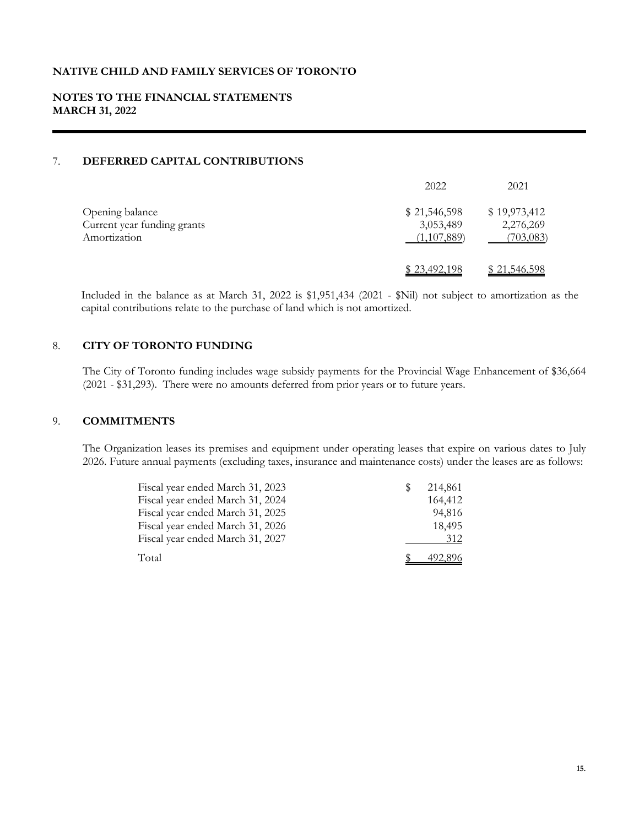# **NOTES TO THE FINANCIAL STATEMENTS MARCH 31, 2022**

# 7. **DEFERRED CAPITAL CONTRIBUTIONS**

|                                                                | 2022                                     | 2021                                    |
|----------------------------------------------------------------|------------------------------------------|-----------------------------------------|
| Opening balance<br>Current year funding grants<br>Amortization | \$21,546,598<br>3,053,489<br>(1,107,889) | \$19,973,412<br>2,276,269<br>(703, 083) |
|                                                                | \$23,492,198                             | <u>\$21,546,598</u>                     |

Included in the balance as at March 31, 2022 is \$1,951,434 (2021 - \$Nil) not subject to amortization as the capital contributions relate to the purchase of land which is not amortized.

# 8. **CITY OF TORONTO FUNDING**

The City of Toronto funding includes wage subsidy payments for the Provincial Wage Enhancement of \$36,664 (2021 - \$31,293). There were no amounts deferred from prior years or to future years.

# 9. **COMMITMENTS**

The Organization leases its premises and equipment under operating leases that expire on various dates to July 2026. Future annual payments (excluding taxes, insurance and maintenance costs) under the leases are as follows:

| Fiscal year ended March 31, 2023 | <sup>8</sup> | 214,861 |
|----------------------------------|--------------|---------|
| Fiscal year ended March 31, 2024 |              | 164,412 |
| Fiscal year ended March 31, 2025 |              | 94,816  |
| Fiscal year ended March 31, 2026 |              | 18,495  |
| Fiscal year ended March 31, 2027 |              | 312     |
| Total                            |              | 492,896 |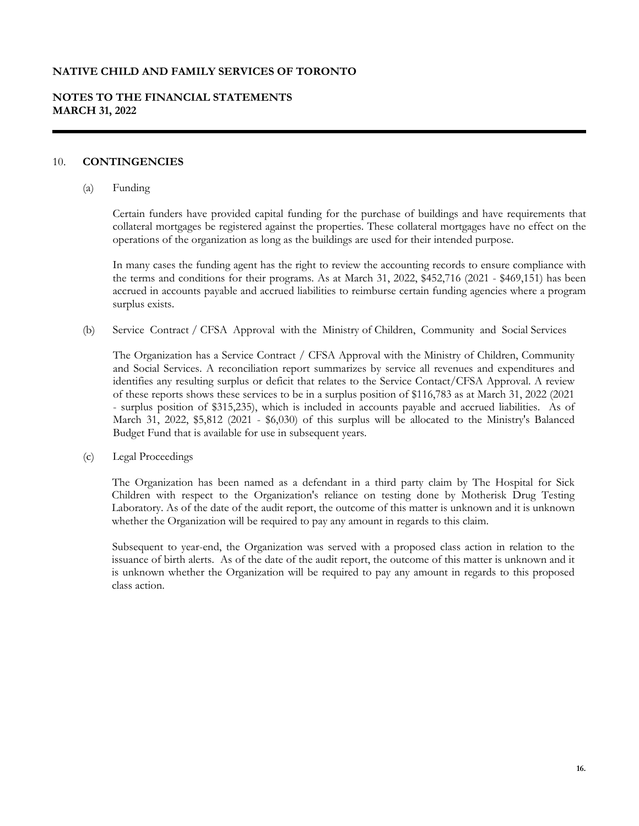# **NOTES TO THE FINANCIAL STATEMENTS MARCH 31, 2022**

### 10. **CONTINGENCIES**

(a) Funding

Certain funders have provided capital funding for the purchase of buildings and have requirements that collateral mortgages be registered against the properties. These collateral mortgages have no effect on the operations of the organization as long as the buildings are used for their intended purpose.

In many cases the funding agent has the right to review the accounting records to ensure compliance with the terms and conditions for their programs. As at March 31, 2022, \$452,716 (2021 - \$469,151) has been accrued in accounts payable and accrued liabilities to reimburse certain funding agencies where a program surplus exists.

(b) Service Contract / CFSA Approval with the Ministry of Children, Community and Social Services

The Organization has a Service Contract / CFSA Approval with the Ministry of Children, Community and Social Services. A reconciliation report summarizes by service all revenues and expenditures and identifies any resulting surplus or deficit that relates to the Service Contact/CFSA Approval. A review of these reports shows these services to be in a surplus position of \$116,783 as at March 31, 2022 (2021 - surplus position of \$315,235), which is included in accounts payable and accrued liabilities. As of March 31, 2022, \$5,812 (2021 - \$6,030) of this surplus will be allocated to the Ministry's Balanced Budget Fund that is available for use in subsequent years.

(c) Legal Proceedings

The Organization has been named as a defendant in a third party claim by The Hospital for Sick Children with respect to the Organization's reliance on testing done by Motherisk Drug Testing Laboratory. As of the date of the audit report, the outcome of this matter is unknown and it is unknown whether the Organization will be required to pay any amount in regards to this claim.

Subsequent to year-end, the Organization was served with a proposed class action in relation to the issuance of birth alerts. As of the date of the audit report, the outcome of this matter is unknown and it is unknown whether the Organization will be required to pay any amount in regards to this proposed class action.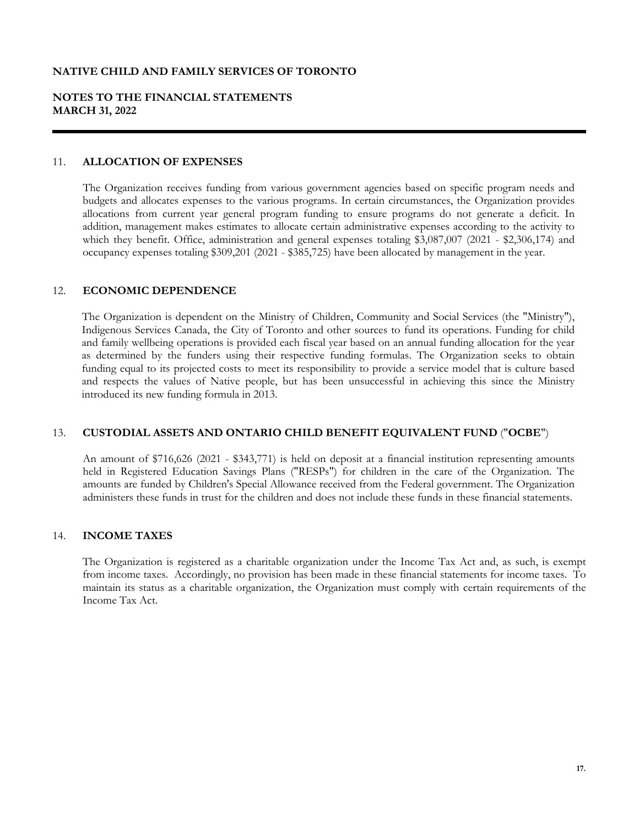# **NOTES TO THE FINANCIAL STATEMENTS MARCH 31, 2022**

#### 11. **ALLOCATION OF EXPENSES**

The Organization receives funding from various government agencies based on specific program needs and budgets and allocates expenses to the various programs. In certain circumstances, the Organization provides allocations from current year general program funding to ensure programs do not generate a deficit. In addition, management makes estimates to allocate certain administrative expenses according to the activity to which they benefit. Office, administration and general expenses totaling \$3,087,007 (2021 - \$2,306,174) and occupancy expenses totaling \$309,201 (2021 - \$385,725) have been allocated by management in the year.

### 12. **ECONOMIC DEPENDENCE**

The Organization is dependent on the Ministry of Children, Community and Social Services (the "Ministry"), Indigenous Services Canada, the City of Toronto and other sources to fund its operations. Funding for child and family wellbeing operations is provided each fiscal year based on an annual funding allocation for the year as determined by the funders using their respective funding formulas. The Organization seeks to obtain funding equal to its projected costs to meet its responsibility to provide a service model that is culture based and respects the values of Native people, but has been unsuccessful in achieving this since the Ministry introduced its new funding formula in 2013.

### 13. **CUSTODIAL ASSETS AND ONTARIO CHILD BENEFIT EQUIVALENT FUND** ("**OCBE**")

An amount of \$716,626 (2021 - \$343,771) is held on deposit at a financial institution representing amounts held in Registered Education Savings Plans ("RESPs") for children in the care of the Organization. The amounts are funded by Children's Special Allowance received from the Federal government. The Organization administers these funds in trust for the children and does not include these funds in these financial statements.

### 14. **INCOME TAXES**

The Organization is registered as a charitable organization under the Income Tax Act and, as such, is exempt from income taxes. Accordingly, no provision has been made in these financial statements for income taxes. To maintain its status as a charitable organization, the Organization must comply with certain requirements of the Income Tax Act.